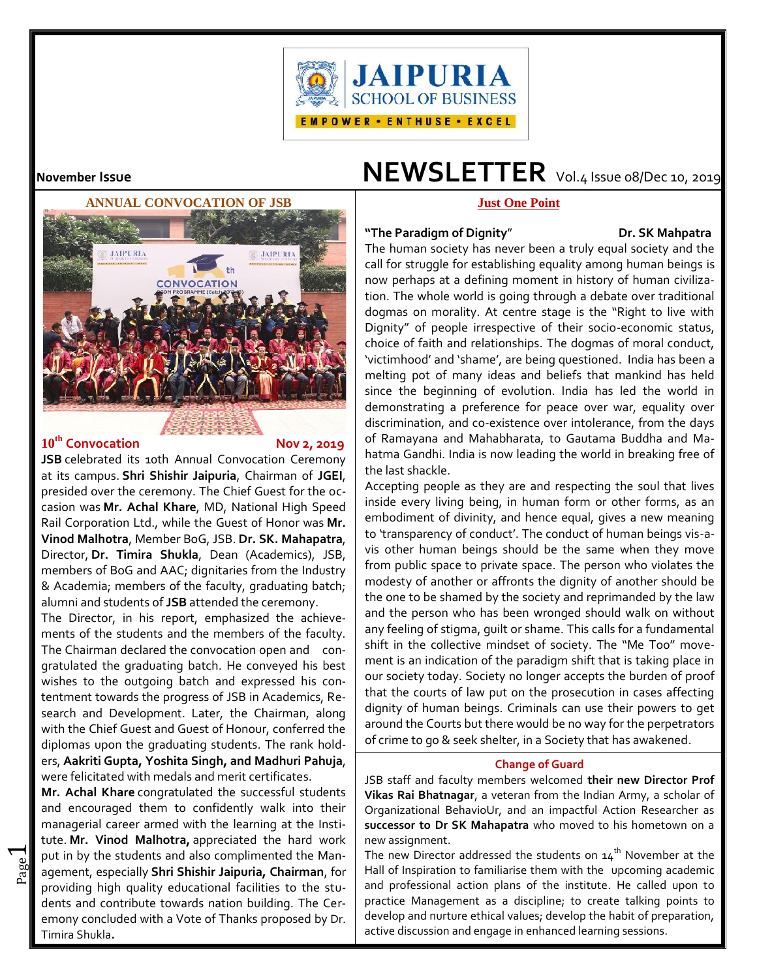



# **10th Convocation Nov 2, 2019**

 $\overline{\phantom{0}}$ 

**JSB** celebrated its 10th Annual Convocation Ceremony at its campus. **Shri Shishir Jaipuria**, Chairman of **JGEI**, presided over the ceremony. The Chief Guest for the occasion was **Mr. Achal Khare**, MD, National High Speed Rail Corporation Ltd., while the Guest of Honor was **Mr. Vinod Malhotra**, Member BoG, JSB. **Dr. SK. Mahapatra**, Director, **Dr. Timira Shukla**, Dean (Academics), JSB, members of BoG and AAC; dignitaries from the Industry & Academia; members of the faculty, graduating batch; alumni and students of **JSB** attended the ceremony.

The Director, in his report, emphasized the achievements of the students and the members of the faculty. The Chairman declared the convocation open and congratulated the graduating batch. He conveyed his best wishes to the outgoing batch and expressed his contentment towards the progress of JSB in Academics, Research and Development. Later, the Chairman, along with the Chief Guest and Guest of Honour, conferred the diplomas upon the graduating students. The rank holders, **Aakriti Gupta, Yoshita Singh, and Madhuri Pahuja**, were felicitated with medals and merit certificates.

Pot in by the stockins and also compiled the main and also compiled the main put in by the students and also complimented the Man-**Mr. Achal Khare** congratulated the successful students and encouraged them to confidently walk into their managerial career armed with the learning at the Institute. **Mr. Vinod Malhotra,** appreciated the hard work providing high quality educational facilities to the students and contribute towards nation building. The Ceremony concluded with a Vote of Thanks proposed by Dr. Timira Shukla**.**

# **November Issue NEWSLETTER** Vol.4 Issue 08/Dec 10, 2019

# **Just One Point**

### "The Paradigm of Dignity" **Pr. SK Mahpatra**

The human society has never been a truly equal society and the call for struggle for establishing equality among human beings is now perhaps at a defining moment in history of human civilization. The whole world is going through a debate over traditional dogmas on morality. At centre stage is the "Right to live with Dignity" of people irrespective of their socio-economic status, choice of faith and relationships. The dogmas of moral conduct, 'victimhood' and 'shame', are being questioned. India has been a melting pot of many ideas and beliefs that mankind has held since the beginning of evolution. India has led the world in demonstrating a preference for peace over war, equality over discrimination, and co-existence over intolerance, from the days of Ramayana and Mahabharata, to Gautama Buddha and Mahatma Gandhi. India is now leading the world in breaking free of the last shackle.

Accepting people as they are and respecting the soul that lives inside every living being, in human form or other forms, as an embodiment of divinity, and hence equal, gives a new meaning to 'transparency of conduct'. The conduct of human beings vis-a vis other human beings should be the same when they move from public space to private space. The person who violates the modesty of another or affronts the dignity of another should be the one to be shamed by the society and reprimanded by the law and the person who has been wronged should walk on without any feeling of stigma, guilt or shame. This calls for a fundamental shift in the collective mindset of society. The "Me Too" movement is an indication of the paradigm shift that is taking place in our society today. Society no longer accepts the burden of proof that the courts of law put on the prosecution in cases affecting dignity of human beings. Criminals can use their powers to get around the Courts but there would be no way for the perpetrators of crime to go & seek shelter, in a Society that has awakened.

## **Change of Guard**

JSB staff and faculty members welcomed **their new Director Prof Vikas Rai Bhatnagar**, a veteran from the Indian Army, a scholar of Organizational BehavioUr, and an impactful Action Researcher as **successor to Dr SK Mahapatra** who moved to his hometown on a new assignment.

The new Director addressed the students on  $14<sup>th</sup>$  November at the Hall of Inspiration to familiarise them with the upcoming academic and professional action plans of the institute. He called upon to practice Management as a discipline; to create talking points to develop and nurture ethical values; develop the habit of preparation, active discussion and engage in enhanced learning sessions.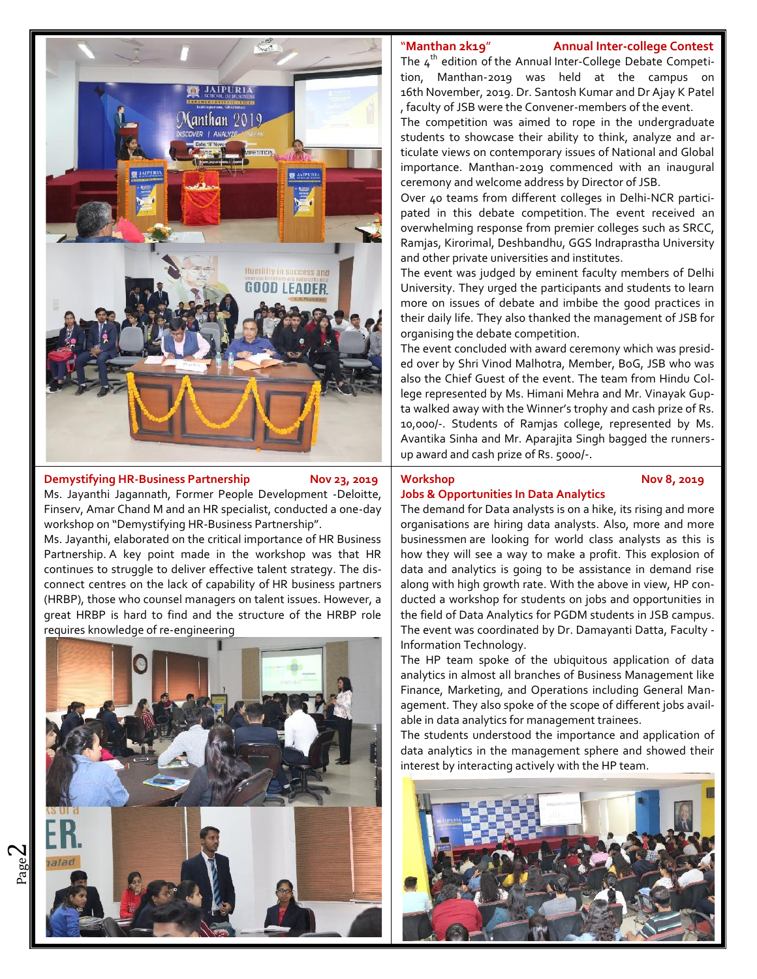

## **Demystifying HR-Business Partnership Nov 23, 2019** Workshop

 $\boldsymbol{\sim}$ 

Ms. Jayanthi Jagannath, Former People Development -Deloitte, Finserv, Amar Chand M and an HR specialist, conducted a one-day workshop on "Demystifying HR-Business Partnership".

Ms. Jayanthi, elaborated on the critical importance of HR Business Partnership. A key point made in the workshop was that HR continues to struggle to deliver effective talent strategy. The disconnect centres on the lack of capability of HR business partners (HRBP), those who counsel managers on talent issues. However, a great HRBP is hard to find and the structure of the HRBP role requires knowledge of re-engineering



# "**Manthan 2k19**" **Annual Inter-college Contest**

The  $4^{th}$  edition of the Annual Inter-College Debate Competition, Manthan-2019 was held at the campus on 16th November, 2019. Dr. Santosh Kumar and Dr Ajay K Patel , faculty of JSB were the Convener-members of the event.

The competition was aimed to rope in the undergraduate students to showcase their ability to think, analyze and articulate views on contemporary issues of National and Global importance. Manthan-2019 commenced with an inaugural ceremony and welcome address by Director of JSB.

Over 40 teams from different colleges in Delhi-NCR participated in this debate competition. The event received an overwhelming response from premier colleges such as SRCC, Ramjas, Kirorimal, Deshbandhu, GGS Indraprastha University and other private universities and institutes.

The event was judged by eminent faculty members of Delhi University. They urged the participants and students to learn more on issues of debate and imbibe the good practices in their daily life. They also thanked the management of JSB for organising the debate competition.

The event concluded with award ceremony which was presided over by Shri Vinod Malhotra, Member, BoG, JSB who was also the Chief Guest of the event. The team from Hindu College represented by Ms. Himani Mehra and Mr. Vinayak Gupta walked away with the Winner's trophy and cash prize of Rs. 10,000/-. Students of Ramjas college, represented by Ms. Avantika Sinha and Mr. Aparajita Singh bagged the runners up award and cash prize of Rs. 5000/-.

### **Workshop Nov 8, 2019**

# **Jobs & Opportunities In Data Analytics**

The demand for Data analysts is on a hike, its rising and more organisations are hiring data analysts. Also, more and more businessmen are looking for world class analysts as this is how they will see a way to make a profit. This explosion of data and analytics is going to be assistance in demand rise along with high growth rate. With the above in view, HP conducted a workshop for students on jobs and opportunities in the field of Data Analytics for PGDM students in JSB campus. The event was coordinated by Dr. Damayanti Datta, Faculty - Information Technology.

The HP team spoke of the ubiquitous application of data analytics in almost all branches of Business Management like Finance, Marketing, and Operations including General Management. They also spoke of the scope of different jobs available in data analytics for management trainees.

The students understood the importance and application of data analytics in the management sphere and showed their interest by interacting actively with the HP team.